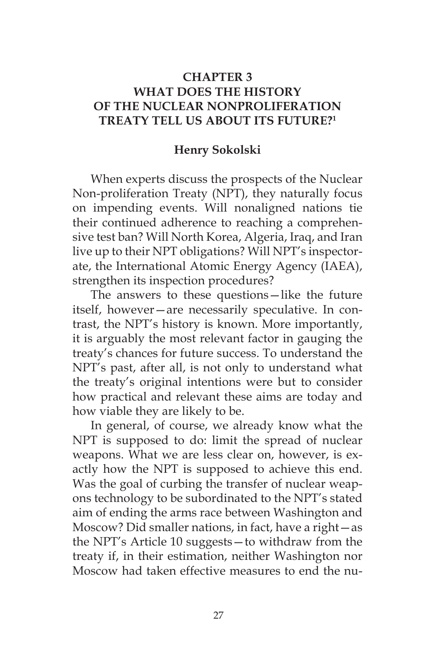# **CHAPTER 3 WHAT DOES THE HISTORY OF THE NUCLEAR NONPROLIFERATION TREATY TELL US ABOUT ITS FUTURE?1**

### **Henry Sokolski**

When experts discuss the prospects of the Nuclear Non-proliferation Treaty (NPT), they naturally focus on impending events. Will nonaligned nations tie their continued adherence to reaching a comprehensive test ban? Will North Korea, Algeria, Iraq, and Iran live up to their NPT obligations? Will NPT's inspectorate, the International Atomic Energy Agency (IAEA), strengthen its inspection procedures?

The answers to these questions—like the future itself, however—are necessarily speculative. In contrast, the NPT's history is known. More importantly, it is arguably the most relevant factor in gauging the treaty's chances for future success. To understand the NPT's past, after all, is not only to understand what the treaty's original intentions were but to consider how practical and relevant these aims are today and how viable they are likely to be.

In general, of course, we already know what the NPT is supposed to do: limit the spread of nuclear weapons. What we are less clear on, however, is exactly how the NPT is supposed to achieve this end. Was the goal of curbing the transfer of nuclear weapons technology to be subordinated to the NPT's stated aim of ending the arms race between Washington and Moscow? Did smaller nations, in fact, have a right—as the NPT's Article 10 suggests—to withdraw from the treaty if, in their estimation, neither Washington nor Moscow had taken effective measures to end the nu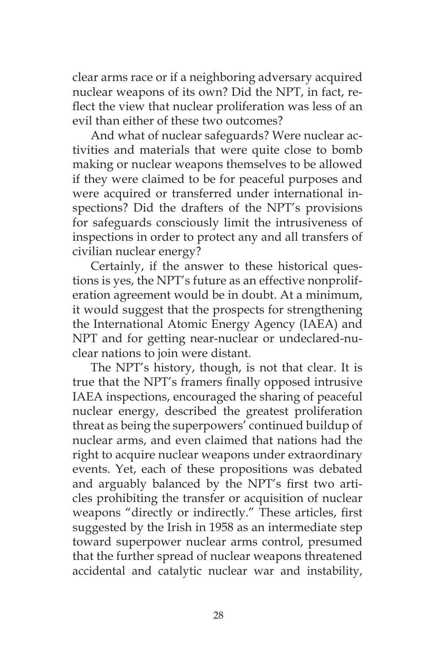clear arms race or if a neighboring adversary acquired nuclear weapons of its own? Did the NPT, in fact, reflect the view that nuclear proliferation was less of an evil than either of these two outcomes?

And what of nuclear safeguards? Were nuclear activities and materials that were quite close to bomb making or nuclear weapons themselves to be allowed if they were claimed to be for peaceful purposes and were acquired or transferred under international inspections? Did the drafters of the NPT's provisions for safeguards consciously limit the intrusiveness of inspections in order to protect any and all transfers of civilian nuclear energy?

Certainly, if the answer to these historical questions is yes, the NPT's future as an effective nonproliferation agreement would be in doubt. At a minimum, it would suggest that the prospects for strengthening the International Atomic Energy Agency (IAEA) and NPT and for getting near-nuclear or undeclared-nuclear nations to join were distant.

The NPT's history, though, is not that clear. It is true that the NPT's framers finally opposed intrusive IAEA inspections, encouraged the sharing of peaceful nuclear energy, described the greatest proliferation threat as being the superpowers' continued buildup of nuclear arms, and even claimed that nations had the right to acquire nuclear weapons under extraordinary events. Yet, each of these propositions was debated and arguably balanced by the NPT's first two articles prohibiting the transfer or acquisition of nuclear weapons "directly or indirectly." These articles, first suggested by the Irish in 1958 as an intermediate step toward superpower nuclear arms control, presumed that the further spread of nuclear weapons threatened accidental and catalytic nuclear war and instability,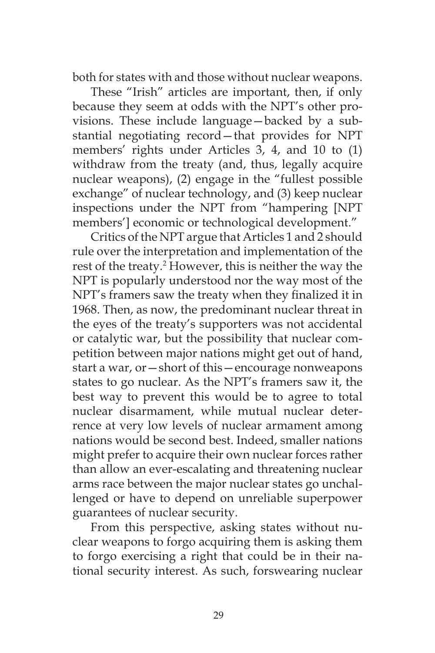both for states with and those without nuclear weapons.

These "Irish" articles are important, then, if only because they seem at odds with the NPT's other provisions. These include language—backed by a substantial negotiating record—that provides for NPT members' rights under Articles 3, 4, and 10 to (1) withdraw from the treaty (and, thus, legally acquire nuclear weapons), (2) engage in the "fullest possible exchange" of nuclear technology, and (3) keep nuclear inspections under the NPT from "hampering [NPT members'] economic or technological development."

Critics of the NPT argue that Articles 1 and 2 should rule over the interpretation and implementation of the rest of the treaty.<sup>2</sup> However, this is neither the way the NPT is popularly understood nor the way most of the NPT's framers saw the treaty when they finalized it in 1968. Then, as now, the predominant nuclear threat in the eyes of the treaty's supporters was not accidental or catalytic war, but the possibility that nuclear competition between major nations might get out of hand, start a war, or—short of this—encourage nonweapons states to go nuclear. As the NPT's framers saw it, the best way to prevent this would be to agree to total nuclear disarmament, while mutual nuclear deterrence at very low levels of nuclear armament among nations would be second best. Indeed, smaller nations might prefer to acquire their own nuclear forces rather than allow an ever-escalating and threatening nuclear arms race between the major nuclear states go unchallenged or have to depend on unreliable superpower guarantees of nuclear security.

From this perspective, asking states without nuclear weapons to forgo acquiring them is asking them to forgo exercising a right that could be in their national security interest. As such, forswearing nuclear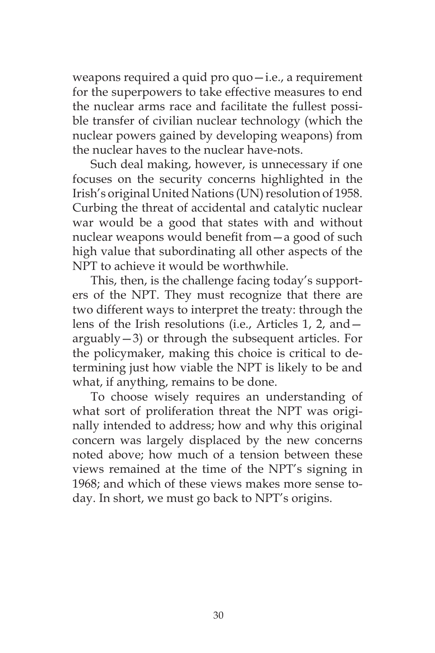weapons required a quid pro quo—i.e., a requirement for the superpowers to take effective measures to end the nuclear arms race and facilitate the fullest possible transfer of civilian nuclear technology (which the nuclear powers gained by developing weapons) from the nuclear haves to the nuclear have-nots.

Such deal making, however, is unnecessary if one focuses on the security concerns highlighted in the Irish's original United Nations (UN) resolution of 1958. Curbing the threat of accidental and catalytic nuclear war would be a good that states with and without nuclear weapons would benefit from—a good of such high value that subordinating all other aspects of the NPT to achieve it would be worthwhile.

This, then, is the challenge facing today's supporters of the NPT. They must recognize that there are two different ways to interpret the treaty: through the lens of the Irish resolutions (i.e., Articles 1, 2, and arguably—3) or through the subsequent articles. For the policymaker, making this choice is critical to determining just how viable the NPT is likely to be and what, if anything, remains to be done.

To choose wisely requires an understanding of what sort of proliferation threat the NPT was originally intended to address; how and why this original concern was largely displaced by the new concerns noted above; how much of a tension between these views remained at the time of the NPT's signing in 1968; and which of these views makes more sense today. In short, we must go back to NPT's origins.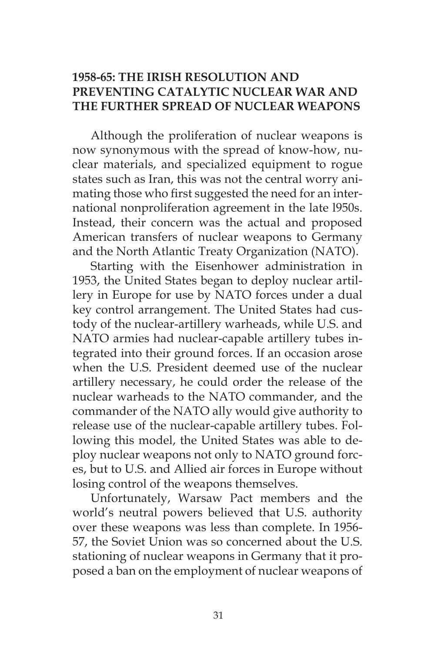# **1958-65: THE IRISH RESOLUTION AND PREVENTING CATALYTIC NUCLEAR WAR AND THE FURTHER SPREAD OF NUCLEAR WEAPONS**

Although the proliferation of nuclear weapons is now synonymous with the spread of know-how, nuclear materials, and specialized equipment to rogue states such as Iran, this was not the central worry animating those who first suggested the need for an international nonproliferation agreement in the late l950s. Instead, their concern was the actual and proposed American transfers of nuclear weapons to Germany and the North Atlantic Treaty Organization (NATO).

Starting with the Eisenhower administration in 1953, the United States began to deploy nuclear artillery in Europe for use by NATO forces under a dual key control arrangement. The United States had custody of the nuclear-artillery warheads, while U.S. and NATO armies had nuclear-capable artillery tubes integrated into their ground forces. If an occasion arose when the U.S. President deemed use of the nuclear artillery necessary, he could order the release of the nuclear warheads to the NATO commander, and the commander of the NATO ally would give authority to release use of the nuclear-capable artillery tubes. Following this model, the United States was able to deploy nuclear weapons not only to NATO ground forces, but to U.S. and Allied air forces in Europe without losing control of the weapons themselves.

Unfortunately, Warsaw Pact members and the world's neutral powers believed that U.S. authority over these weapons was less than complete. In 1956- 57, the Soviet Union was so concerned about the U.S. stationing of nuclear weapons in Germany that it proposed a ban on the employment of nuclear weapons of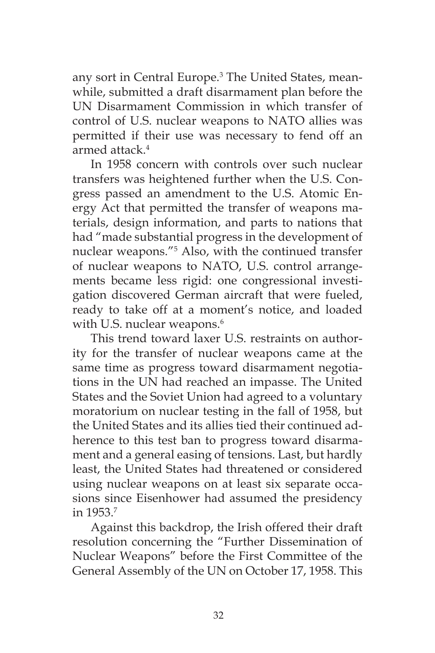any sort in Central Europe.<sup>3</sup> The United States, meanwhile, submitted a draft disarmament plan before the UN Disarmament Commission in which transfer of control of U.S. nuclear weapons to NATO allies was permitted if their use was necessary to fend off an armed attack.4

In 1958 concern with controls over such nuclear transfers was heightened further when the U.S. Congress passed an amendment to the U.S. Atomic Energy Act that permitted the transfer of weapons materials, design information, and parts to nations that had "made substantial progress in the development of nuclear weapons."5 Also, with the continued transfer of nuclear weapons to NATO, U.S. control arrangements became less rigid: one congressional investigation discovered German aircraft that were fueled, ready to take off at a moment's notice, and loaded with U.S. nuclear weapons.<sup>6</sup>

This trend toward laxer U.S. restraints on authority for the transfer of nuclear weapons came at the same time as progress toward disarmament negotiations in the UN had reached an impasse. The United States and the Soviet Union had agreed to a voluntary moratorium on nuclear testing in the fall of 1958, but the United States and its allies tied their continued adherence to this test ban to progress toward disarmament and a general easing of tensions. Last, but hardly least, the United States had threatened or considered using nuclear weapons on at least six separate occasions since Eisenhower had assumed the presidency in 1953.7

Against this backdrop, the Irish offered their draft resolution concerning the "Further Dissemination of Nuclear Weapons" before the First Committee of the General Assembly of the UN on October 17, 1958. This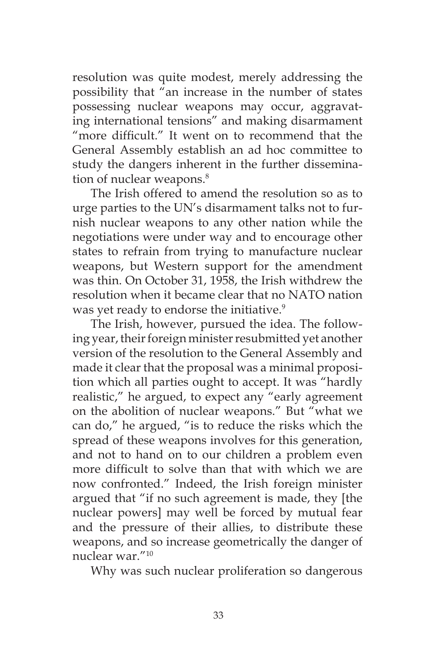resolution was quite modest, merely addressing the possibility that "an increase in the number of states possessing nuclear weapons may occur, aggravating international tensions" and making disarmament "more difficult." It went on to recommend that the General Assembly establish an ad hoc committee to study the dangers inherent in the further dissemination of nuclear weapons.<sup>8</sup>

The Irish offered to amend the resolution so as to urge parties to the UN's disarmament talks not to furnish nuclear weapons to any other nation while the negotiations were under way and to encourage other states to refrain from trying to manufacture nuclear weapons, but Western support for the amendment was thin. On October 31, 1958, the Irish withdrew the resolution when it became clear that no NATO nation was yet ready to endorse the initiative.<sup>9</sup>

The Irish, however, pursued the idea. The following year, their foreign minister resubmitted yet another version of the resolution to the General Assembly and made it clear that the proposal was a minimal proposition which all parties ought to accept. It was "hardly realistic," he argued, to expect any "early agreement on the abolition of nuclear weapons." But "what we can do," he argued, "is to reduce the risks which the spread of these weapons involves for this generation, and not to hand on to our children a problem even more difficult to solve than that with which we are now confronted." Indeed, the Irish foreign minister argued that "if no such agreement is made, they [the nuclear powers] may well be forced by mutual fear and the pressure of their allies, to distribute these weapons, and so increase geometrically the danger of nuclear war."10

Why was such nuclear proliferation so dangerous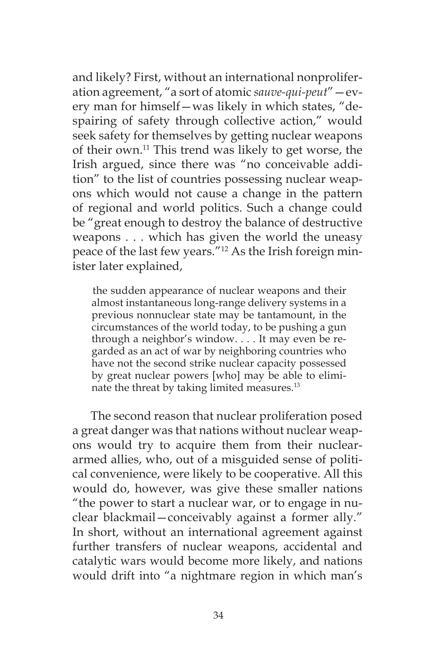and likely? First, without an international nonproliferation agreement, "a sort of atomic *sauve-qui-peut*"—every man for himself—was likely in which states, "despairing of safety through collective action," would seek safety for themselves by getting nuclear weapons of their own.11 This trend was likely to get worse, the Irish argued, since there was "no conceivable addition" to the list of countries possessing nuclear weapons which would not cause a change in the pattern of regional and world politics. Such a change could be "great enough to destroy the balance of destructive weapons . . . which has given the world the uneasy peace of the last few years."12 As the Irish foreign minister later explained,

the sudden appearance of nuclear weapons and their almost instantaneous long-range delivery systems in a previous nonnuclear state may be tantamount, in the circumstances of the world today, to be pushing a gun through a neighbor's window. . . . It may even be regarded as an act of war by neighboring countries who have not the second strike nuclear capacity possessed by great nuclear powers [who] may be able to eliminate the threat by taking limited measures.<sup>13</sup>

The second reason that nuclear proliferation posed a great danger was that nations without nuclear weapons would try to acquire them from their nucleararmed allies, who, out of a misguided sense of political convenience, were likely to be cooperative. All this would do, however, was give these smaller nations "the power to start a nuclear war, or to engage in nuclear blackmail—conceivably against a former ally." In short, without an international agreement against further transfers of nuclear weapons, accidental and catalytic wars would become more likely, and nations would drift into "a nightmare region in which man's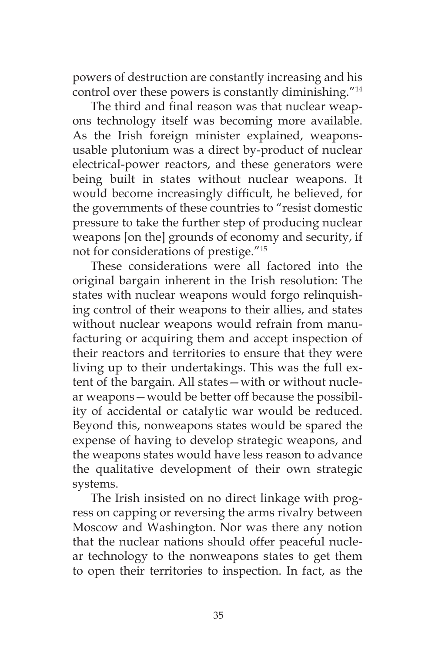powers of destruction are constantly increasing and his control over these powers is constantly diminishing."14

The third and final reason was that nuclear weapons technology itself was becoming more available. As the Irish foreign minister explained, weaponsusable plutonium was a direct by-product of nuclear electrical-power reactors, and these generators were being built in states without nuclear weapons. It would become increasingly difficult, he believed, for the governments of these countries to "resist domestic pressure to take the further step of producing nuclear weapons [on the] grounds of economy and security, if not for considerations of prestige."15

These considerations were all factored into the original bargain inherent in the Irish resolution: The states with nuclear weapons would forgo relinquishing control of their weapons to their allies, and states without nuclear weapons would refrain from manufacturing or acquiring them and accept inspection of their reactors and territories to ensure that they were living up to their undertakings. This was the full extent of the bargain. All states—with or without nuclear weapons—would be better off because the possibility of accidental or catalytic war would be reduced. Beyond this, nonweapons states would be spared the expense of having to develop strategic weapons, and the weapons states would have less reason to advance the qualitative development of their own strategic systems.

The Irish insisted on no direct linkage with progress on capping or reversing the arms rivalry between Moscow and Washington. Nor was there any notion that the nuclear nations should offer peaceful nuclear technology to the nonweapons states to get them to open their territories to inspection. In fact, as the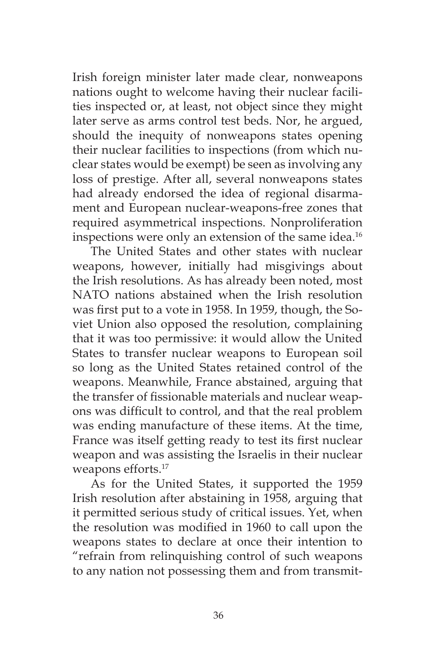Irish foreign minister later made clear, nonweapons nations ought to welcome having their nuclear facilities inspected or, at least, not object since they might later serve as arms control test beds. Nor, he argued, should the inequity of nonweapons states opening their nuclear facilities to inspections (from which nuclear states would be exempt) be seen as involving any loss of prestige. After all, several nonweapons states had already endorsed the idea of regional disarmament and European nuclear-weapons-free zones that required asymmetrical inspections. Nonproliferation inspections were only an extension of the same idea.<sup>16</sup>

The United States and other states with nuclear weapons, however, initially had misgivings about the Irish resolutions. As has already been noted, most NATO nations abstained when the Irish resolution was first put to a vote in 1958. In 1959, though, the Soviet Union also opposed the resolution, complaining that it was too permissive: it would allow the United States to transfer nuclear weapons to European soil so long as the United States retained control of the weapons. Meanwhile, France abstained, arguing that the transfer of fissionable materials and nuclear weapons was difficult to control, and that the real problem was ending manufacture of these items. At the time, France was itself getting ready to test its first nuclear weapon and was assisting the Israelis in their nuclear weapons efforts.<sup>17</sup>

As for the United States, it supported the 1959 Irish resolution after abstaining in 1958, arguing that it permitted serious study of critical issues. Yet, when the resolution was modified in 1960 to call upon the weapons states to declare at once their intention to "refrain from relinquishing control of such weapons to any nation not possessing them and from transmit-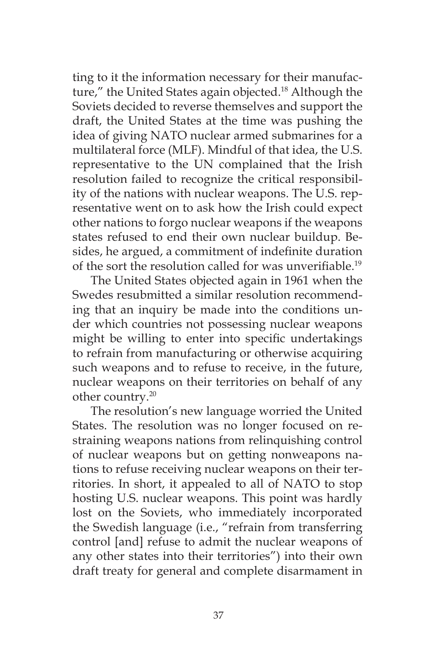ting to it the information necessary for their manufacture," the United States again objected.<sup>18</sup> Although the Soviets decided to reverse themselves and support the draft, the United States at the time was pushing the idea of giving NATO nuclear armed submarines for a multilateral force (MLF). Mindful of that idea, the U.S. representative to the UN complained that the Irish resolution failed to recognize the critical responsibility of the nations with nuclear weapons. The U.S. representative went on to ask how the Irish could expect other nations to forgo nuclear weapons if the weapons states refused to end their own nuclear buildup. Besides, he argued, a commitment of indefinite duration of the sort the resolution called for was unverifiable.<sup>19</sup>

The United States objected again in 1961 when the Swedes resubmitted a similar resolution recommending that an inquiry be made into the conditions under which countries not possessing nuclear weapons might be willing to enter into specific undertakings to refrain from manufacturing or otherwise acquiring such weapons and to refuse to receive, in the future, nuclear weapons on their territories on behalf of any other country.20

The resolution's new language worried the United States. The resolution was no longer focused on restraining weapons nations from relinquishing control of nuclear weapons but on getting nonweapons nations to refuse receiving nuclear weapons on their territories. In short, it appealed to all of NATO to stop hosting U.S. nuclear weapons. This point was hardly lost on the Soviets, who immediately incorporated the Swedish language (i.e., "refrain from transferring control [and] refuse to admit the nuclear weapons of any other states into their territories") into their own draft treaty for general and complete disarmament in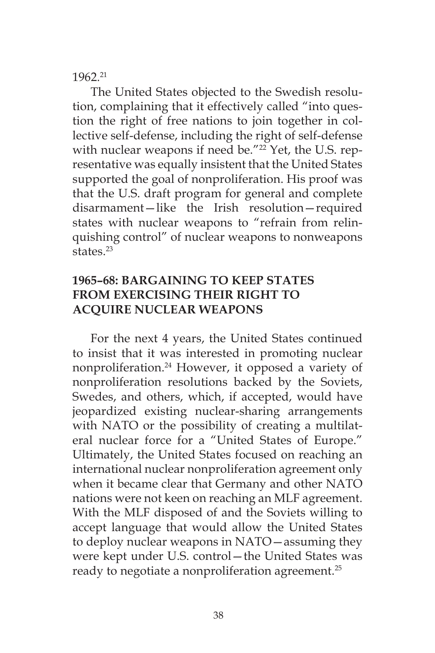### 1962.21

The United States objected to the Swedish resolution, complaining that it effectively called "into question the right of free nations to join together in collective self-defense, including the right of self-defense with nuclear weapons if need be."<sup>22</sup> Yet, the U.S. representative was equally insistent that the United States supported the goal of nonproliferation. His proof was that the U.S. draft program for general and complete disarmament—like the Irish resolution—required states with nuclear weapons to "refrain from relinquishing control" of nuclear weapons to nonweapons states $^{23}$ 

# **1965–68: BARGAINING TO KEEP STATES FROM EXERCISING THEIR RIGHT TO ACQUIRE NUCLEAR WEAPONS**

For the next 4 years, the United States continued to insist that it was interested in promoting nuclear nonproliferation.24 However, it opposed a variety of nonproliferation resolutions backed by the Soviets, Swedes, and others, which, if accepted, would have jeopardized existing nuclear-sharing arrangements with NATO or the possibility of creating a multilateral nuclear force for a "United States of Europe." Ultimately, the United States focused on reaching an international nuclear nonproliferation agreement only when it became clear that Germany and other NATO nations were not keen on reaching an MLF agreement. With the MLF disposed of and the Soviets willing to accept language that would allow the United States to deploy nuclear weapons in NATO—assuming they were kept under U.S. control—the United States was ready to negotiate a nonproliferation agreement.<sup>25</sup>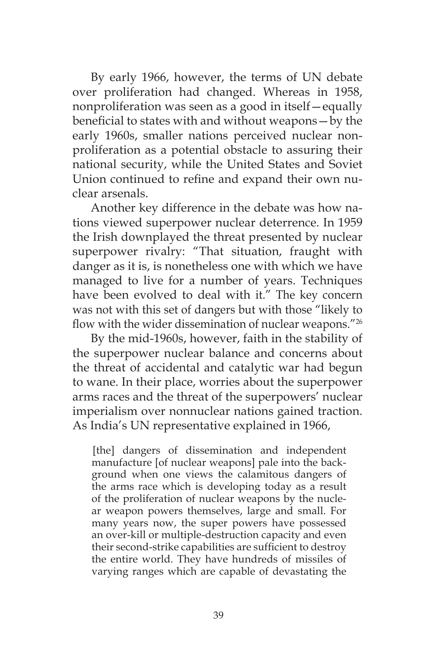By early 1966, however, the terms of UN debate over proliferation had changed. Whereas in 1958, nonproliferation was seen as a good in itself—equally beneficial to states with and without weapons—by the early 1960s, smaller nations perceived nuclear nonproliferation as a potential obstacle to assuring their national security, while the United States and Soviet Union continued to refine and expand their own nuclear arsenals.

Another key difference in the debate was how nations viewed superpower nuclear deterrence. In 1959 the Irish downplayed the threat presented by nuclear superpower rivalry: "That situation, fraught with danger as it is, is nonetheless one with which we have managed to live for a number of years. Techniques have been evolved to deal with it." The key concern was not with this set of dangers but with those "likely to flow with the wider dissemination of nuclear weapons."26

By the mid-1960s, however, faith in the stability of the superpower nuclear balance and concerns about the threat of accidental and catalytic war had begun to wane. In their place, worries about the superpower arms races and the threat of the superpowers' nuclear imperialism over nonnuclear nations gained traction. As India's UN representative explained in 1966,

[the] dangers of dissemination and independent manufacture [of nuclear weapons] pale into the background when one views the calamitous dangers of the arms race which is developing today as a result of the proliferation of nuclear weapons by the nuclear weapon powers themselves, large and small. For many years now, the super powers have possessed an over-kill or multiple-destruction capacity and even their second-strike capabilities are sufficient to destroy the entire world. They have hundreds of missiles of varying ranges which are capable of devastating the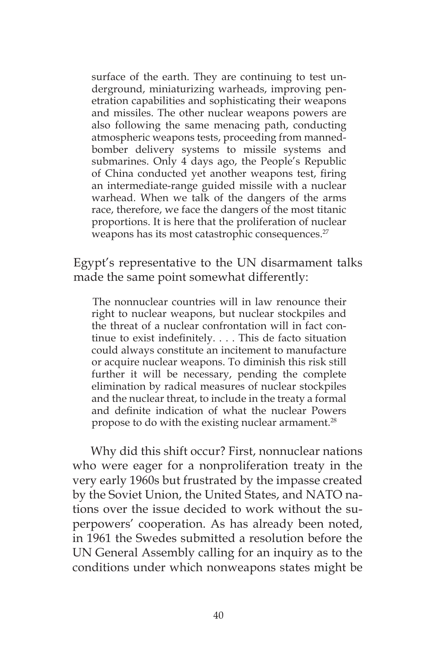surface of the earth. They are continuing to test underground, miniaturizing warheads, improving penetration capabilities and sophisticating their weapons and missiles. The other nuclear weapons powers are also following the same menacing path, conducting atmospheric weapons tests, proceeding from mannedbomber delivery systems to missile systems and submarines. Only 4 days ago, the People's Republic of China conducted yet another weapons test, firing an intermediate-range guided missile with a nuclear warhead. When we talk of the dangers of the arms race, therefore, we face the dangers of the most titanic proportions. It is here that the proliferation of nuclear weapons has its most catastrophic consequences.<sup>27</sup>

Egypt's representative to the UN disarmament talks made the same point somewhat differently:

The nonnuclear countries will in law renounce their right to nuclear weapons, but nuclear stockpiles and the threat of a nuclear confrontation will in fact continue to exist indefinitely. . . . This de facto situation could always constitute an incitement to manufacture or acquire nuclear weapons. To diminish this risk still further it will be necessary, pending the complete elimination by radical measures of nuclear stockpiles and the nuclear threat, to include in the treaty a formal and definite indication of what the nuclear Powers propose to do with the existing nuclear armament.<sup>28</sup>

Why did this shift occur? First, nonnuclear nations who were eager for a nonproliferation treaty in the very early 1960s but frustrated by the impasse created by the Soviet Union, the United States, and NATO nations over the issue decided to work without the superpowers' cooperation. As has already been noted, in 1961 the Swedes submitted a resolution before the UN General Assembly calling for an inquiry as to the conditions under which nonweapons states might be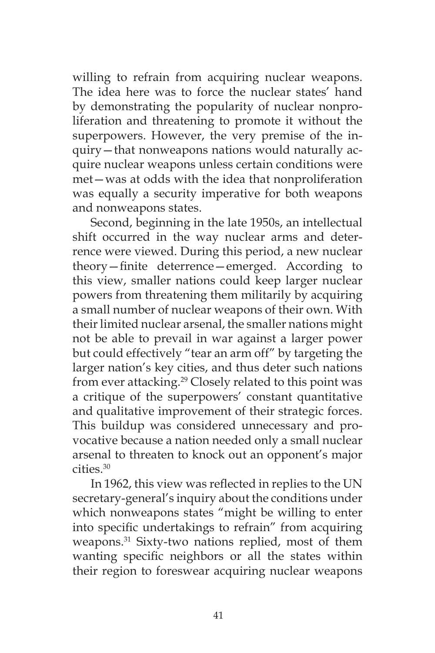willing to refrain from acquiring nuclear weapons. The idea here was to force the nuclear states' hand by demonstrating the popularity of nuclear nonproliferation and threatening to promote it without the superpowers. However, the very premise of the inquiry—that nonweapons nations would naturally acquire nuclear weapons unless certain conditions were met—was at odds with the idea that nonproliferation was equally a security imperative for both weapons and nonweapons states.

Second, beginning in the late 1950s, an intellectual shift occurred in the way nuclear arms and deterrence were viewed. During this period, a new nuclear theory—finite deterrence—emerged. According to this view, smaller nations could keep larger nuclear powers from threatening them militarily by acquiring a small number of nuclear weapons of their own. With their limited nuclear arsenal, the smaller nations might not be able to prevail in war against a larger power but could effectively "tear an arm off" by targeting the larger nation's key cities, and thus deter such nations from ever attacking.<sup>29</sup> Closely related to this point was a critique of the superpowers' constant quantitative and qualitative improvement of their strategic forces. This buildup was considered unnecessary and provocative because a nation needed only a small nuclear arsenal to threaten to knock out an opponent's major cities.30

In 1962, this view was reflected in replies to the UN secretary-general's inquiry about the conditions under which nonweapons states "might be willing to enter into specific undertakings to refrain" from acquiring weapons.31 Sixty-two nations replied, most of them wanting specific neighbors or all the states within their region to foreswear acquiring nuclear weapons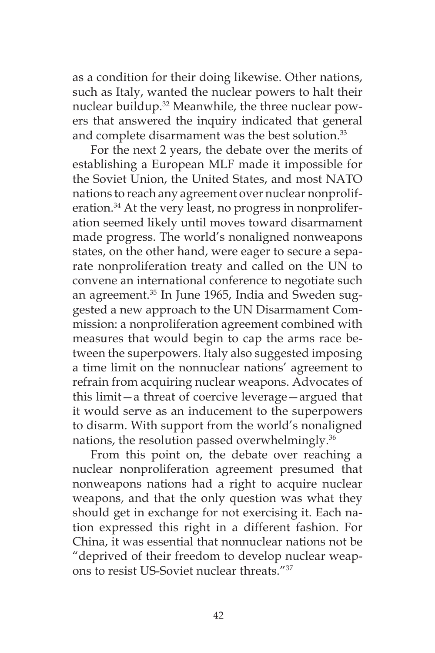as a condition for their doing likewise. Other nations, such as Italy, wanted the nuclear powers to halt their nuclear buildup.<sup>32</sup> Meanwhile, the three nuclear powers that answered the inquiry indicated that general and complete disarmament was the best solution.<sup>33</sup>

For the next 2 years, the debate over the merits of establishing a European MLF made it impossible for the Soviet Union, the United States, and most NATO nations to reach any agreement over nuclear nonproliferation.<sup>34</sup> At the very least, no progress in nonproliferation seemed likely until moves toward disarmament made progress. The world's nonaligned nonweapons states, on the other hand, were eager to secure a separate nonproliferation treaty and called on the UN to convene an international conference to negotiate such an agreement.<sup>35</sup> In June 1965, India and Sweden suggested a new approach to the UN Disarmament Commission: a nonproliferation agreement combined with measures that would begin to cap the arms race between the superpowers. Italy also suggested imposing a time limit on the nonnuclear nations' agreement to refrain from acquiring nuclear weapons. Advocates of this limit—a threat of coercive leverage—argued that it would serve as an inducement to the superpowers to disarm. With support from the world's nonaligned nations, the resolution passed overwhelmingly.<sup>36</sup>

From this point on, the debate over reaching a nuclear nonproliferation agreement presumed that nonweapons nations had a right to acquire nuclear weapons, and that the only question was what they should get in exchange for not exercising it. Each nation expressed this right in a different fashion. For China, it was essential that nonnuclear nations not be "deprived of their freedom to develop nuclear weapons to resist US-Soviet nuclear threats.<sup>"37</sup>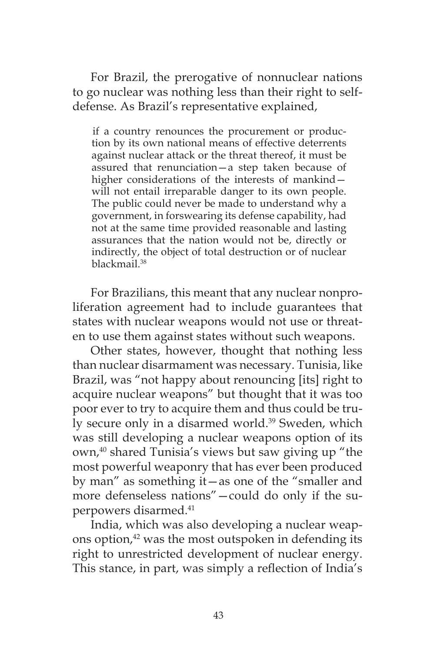For Brazil, the prerogative of nonnuclear nations to go nuclear was nothing less than their right to selfdefense. As Brazil's representative explained,

if a country renounces the procurement or production by its own national means of effective deterrents against nuclear attack or the threat thereof, it must be assured that renunciation—a step taken because of higher considerations of the interests of mankind – will not entail irreparable danger to its own people. The public could never be made to understand why a government, in forswearing its defense capability, had not at the same time provided reasonable and lasting assurances that the nation would not be, directly or indirectly, the object of total destruction or of nuclear blackmail.38

For Brazilians, this meant that any nuclear nonproliferation agreement had to include guarantees that states with nuclear weapons would not use or threaten to use them against states without such weapons.

Other states, however, thought that nothing less than nuclear disarmament was necessary. Tunisia, like Brazil, was "not happy about renouncing [its] right to acquire nuclear weapons" but thought that it was too poor ever to try to acquire them and thus could be truly secure only in a disarmed world.<sup>39</sup> Sweden, which was still developing a nuclear weapons option of its own,<sup>40</sup> shared Tunisia's views but saw giving up "the most powerful weaponry that has ever been produced by man" as something it—as one of the "smaller and more defenseless nations"—could do only if the superpowers disarmed.41

India, which was also developing a nuclear weapons option, $42$  was the most outspoken in defending its right to unrestricted development of nuclear energy. This stance, in part, was simply a reflection of India's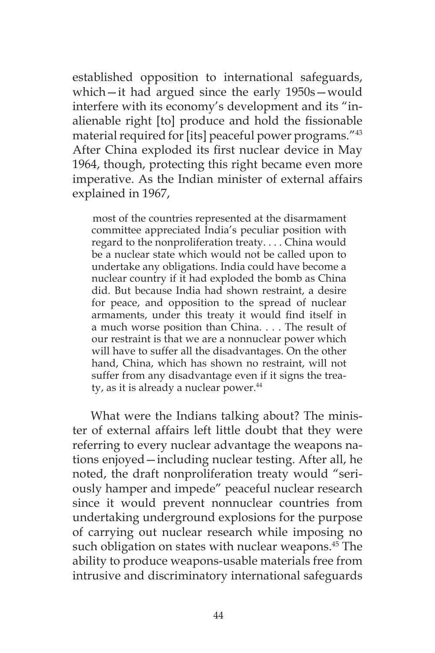established opposition to international safeguards, which—it had argued since the early 1950s—would interfere with its economy's development and its "inalienable right [to] produce and hold the fissionable material required for [its] peaceful power programs."43 After China exploded its first nuclear device in May 1964, though, protecting this right became even more imperative. As the Indian minister of external affairs explained in 1967,

most of the countries represented at the disarmament committee appreciated India's peculiar position with regard to the nonproliferation treaty. . . . China would be a nuclear state which would not be called upon to undertake any obligations. India could have become a nuclear country if it had exploded the bomb as China did. But because India had shown restraint, a desire for peace, and opposition to the spread of nuclear armaments, under this treaty it would find itself in a much worse position than China. . . . The result of our restraint is that we are a nonnuclear power which will have to suffer all the disadvantages. On the other hand, China, which has shown no restraint, will not suffer from any disadvantage even if it signs the treaty, as it is already a nuclear power. $44$ 

What were the Indians talking about? The minister of external affairs left little doubt that they were referring to every nuclear advantage the weapons nations enjoyed—including nuclear testing. After all, he noted, the draft nonproliferation treaty would "seriously hamper and impede" peaceful nuclear research since it would prevent nonnuclear countries from undertaking underground explosions for the purpose of carrying out nuclear research while imposing no such obligation on states with nuclear weapons.<sup>45</sup> The ability to produce weapons-usable materials free from intrusive and discriminatory international safeguards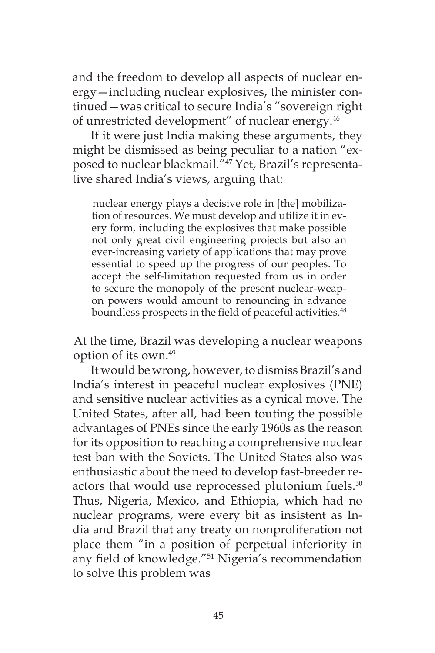and the freedom to develop all aspects of nuclear energy—including nuclear explosives, the minister continued—was critical to secure India's "sovereign right of unrestricted development" of nuclear energy.46

If it were just India making these arguments, they might be dismissed as being peculiar to a nation "exposed to nuclear blackmail."47 Yet, Brazil's representative shared India's views, arguing that:

nuclear energy plays a decisive role in [the] mobilization of resources. We must develop and utilize it in every form, including the explosives that make possible not only great civil engineering projects but also an ever-increasing variety of applications that may prove essential to speed up the progress of our peoples. To accept the self-limitation requested from us in order to secure the monopoly of the present nuclear-weapon powers would amount to renouncing in advance boundless prospects in the field of peaceful activities.<sup>48</sup>

At the time, Brazil was developing a nuclear weapons option of its own.49

It would be wrong, however, to dismiss Brazil's and India's interest in peaceful nuclear explosives (PNE) and sensitive nuclear activities as a cynical move. The United States, after all, had been touting the possible advantages of PNEs since the early 1960s as the reason for its opposition to reaching a comprehensive nuclear test ban with the Soviets. The United States also was enthusiastic about the need to develop fast-breeder reactors that would use reprocessed plutonium fuels.<sup>50</sup> Thus, Nigeria, Mexico, and Ethiopia, which had no nuclear programs, were every bit as insistent as India and Brazil that any treaty on nonproliferation not place them "in a position of perpetual inferiority in any field of knowledge."51 Nigeria's recommendation to solve this problem was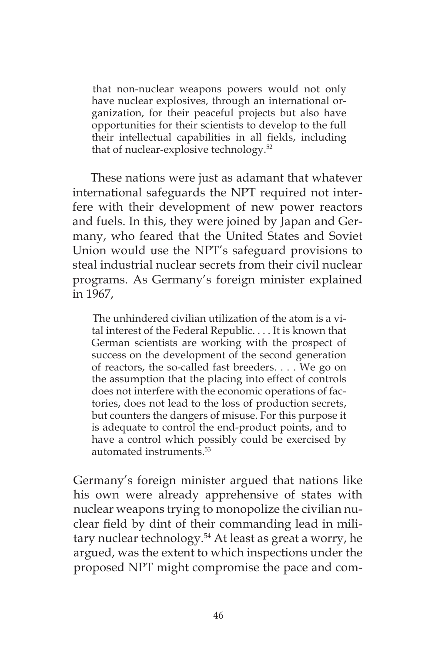that non-nuclear weapons powers would not only have nuclear explosives, through an international organization, for their peaceful projects but also have opportunities for their scientists to develop to the full their intellectual capabilities in all fields, including that of nuclear-explosive technology.52

These nations were just as adamant that whatever international safeguards the NPT required not interfere with their development of new power reactors and fuels. In this, they were joined by Japan and Germany, who feared that the United States and Soviet Union would use the NPT's safeguard provisions to steal industrial nuclear secrets from their civil nuclear programs. As Germany's foreign minister explained in 1967,

The unhindered civilian utilization of the atom is a vital interest of the Federal Republic. . . . It is known that German scientists are working with the prospect of success on the development of the second generation of reactors, the so-called fast breeders. . . . We go on the assumption that the placing into effect of controls does not interfere with the economic operations of factories, does not lead to the loss of production secrets, but counters the dangers of misuse. For this purpose it is adequate to control the end-product points, and to have a control which possibly could be exercised by automated instruments.53

Germany's foreign minister argued that nations like his own were already apprehensive of states with nuclear weapons trying to monopolize the civilian nuclear field by dint of their commanding lead in military nuclear technology.<sup>54</sup> At least as great a worry, he argued, was the extent to which inspections under the proposed NPT might compromise the pace and com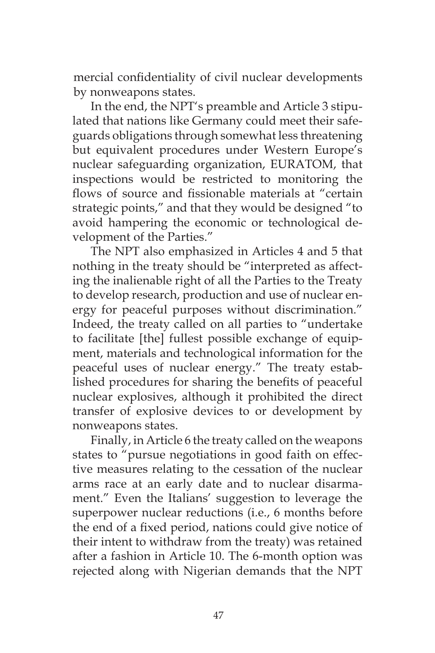mercial confidentiality of civil nuclear developments by nonweapons states.

In the end, the NPT's preamble and Article 3 stipulated that nations like Germany could meet their safeguards obligations through somewhat less threatening but equivalent procedures under Western Europe's nuclear safeguarding organization, EURATOM, that inspections would be restricted to monitoring the flows of source and fissionable materials at "certain strategic points," and that they would be designed "to avoid hampering the economic or technological development of the Parties."

The NPT also emphasized in Articles 4 and 5 that nothing in the treaty should be "interpreted as affecting the inalienable right of all the Parties to the Treaty to develop research, production and use of nuclear energy for peaceful purposes without discrimination." Indeed, the treaty called on all parties to "undertake to facilitate [the] fullest possible exchange of equipment, materials and technological information for the peaceful uses of nuclear energy." The treaty established procedures for sharing the benefits of peaceful nuclear explosives, although it prohibited the direct transfer of explosive devices to or development by nonweapons states.

Finally, in Article 6 the treaty called on the weapons states to "pursue negotiations in good faith on effective measures relating to the cessation of the nuclear arms race at an early date and to nuclear disarmament." Even the Italians' suggestion to leverage the superpower nuclear reductions (i.e., 6 months before the end of a fixed period, nations could give notice of their intent to withdraw from the treaty) was retained after a fashion in Article 10. The 6-month option was rejected along with Nigerian demands that the NPT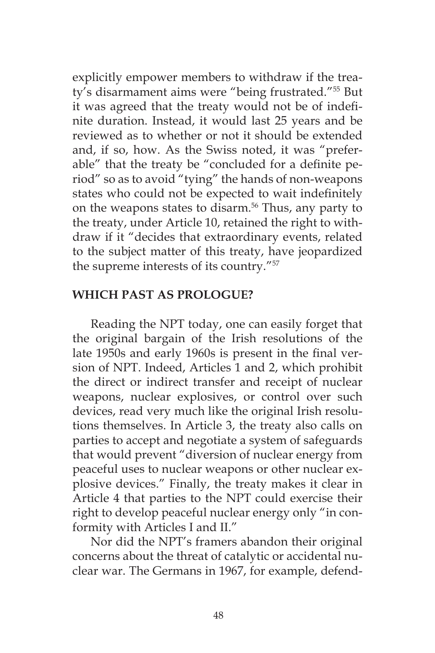explicitly empower members to withdraw if the treaty's disarmament aims were "being frustrated."55 But it was agreed that the treaty would not be of indefinite duration. Instead, it would last 25 years and be reviewed as to whether or not it should be extended and, if so, how. As the Swiss noted, it was "preferable" that the treaty be "concluded for a definite period" so as to avoid "tying" the hands of non-weapons states who could not be expected to wait indefinitely on the weapons states to disarm.<sup>56</sup> Thus, any party to the treaty, under Article 10, retained the right to withdraw if it "decides that extraordinary events, related to the subject matter of this treaty, have jeopardized the supreme interests of its country."57

### **WHICH PAST AS PROLOGUE?**

Reading the NPT today, one can easily forget that the original bargain of the Irish resolutions of the late 1950s and early 1960s is present in the final version of NPT. Indeed, Articles 1 and 2, which prohibit the direct or indirect transfer and receipt of nuclear weapons, nuclear explosives, or control over such devices, read very much like the original Irish resolutions themselves. In Article 3, the treaty also calls on parties to accept and negotiate a system of safeguards that would prevent "diversion of nuclear energy from peaceful uses to nuclear weapons or other nuclear explosive devices." Finally, the treaty makes it clear in Article 4 that parties to the NPT could exercise their right to develop peaceful nuclear energy only "in conformity with Articles I and II."

Nor did the NPT's framers abandon their original concerns about the threat of catalytic or accidental nuclear war. The Germans in 1967, for example, defend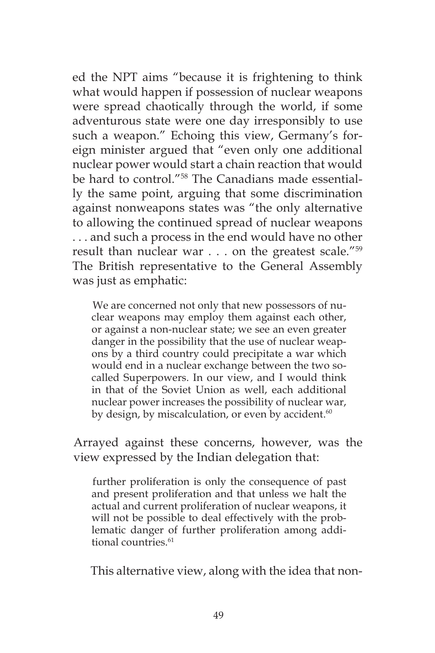ed the NPT aims "because it is frightening to think what would happen if possession of nuclear weapons were spread chaotically through the world, if some adventurous state were one day irresponsibly to use such a weapon." Echoing this view, Germany's foreign minister argued that "even only one additional nuclear power would start a chain reaction that would be hard to control."58 The Canadians made essentially the same point, arguing that some discrimination against nonweapons states was "the only alternative to allowing the continued spread of nuclear weapons . . . and such a process in the end would have no other result than nuclear war . . . on the greatest scale."59 The British representative to the General Assembly was just as emphatic:

We are concerned not only that new possessors of nuclear weapons may employ them against each other, or against a non-nuclear state; we see an even greater danger in the possibility that the use of nuclear weapons by a third country could precipitate a war which would end in a nuclear exchange between the two socalled Superpowers. In our view, and I would think in that of the Soviet Union as well, each additional nuclear power increases the possibility of nuclear war, by design, by miscalculation, or even by accident. $60$ 

Arrayed against these concerns, however, was the view expressed by the Indian delegation that:

further proliferation is only the consequence of past and present proliferation and that unless we halt the actual and current proliferation of nuclear weapons, it will not be possible to deal effectively with the problematic danger of further proliferation among additional countries.<sup>61</sup>

This alternative view, along with the idea that non-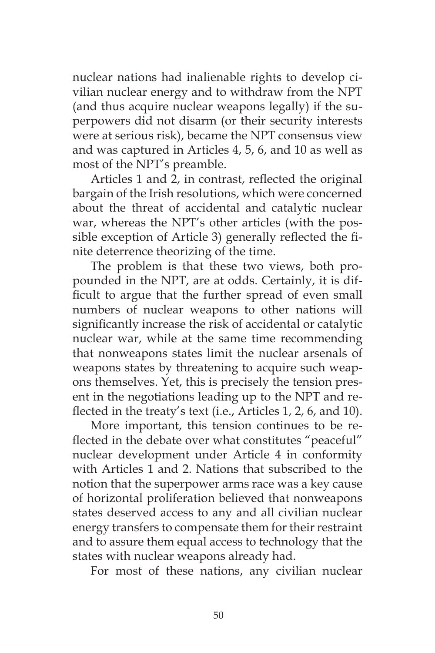nuclear nations had inalienable rights to develop civilian nuclear energy and to withdraw from the NPT (and thus acquire nuclear weapons legally) if the superpowers did not disarm (or their security interests were at serious risk), became the NPT consensus view and was captured in Articles 4, 5, 6, and 10 as well as most of the NPT's preamble.

Articles 1 and 2, in contrast, reflected the original bargain of the Irish resolutions, which were concerned about the threat of accidental and catalytic nuclear war, whereas the NPT's other articles (with the possible exception of Article 3) generally reflected the finite deterrence theorizing of the time.

The problem is that these two views, both propounded in the NPT, are at odds. Certainly, it is difficult to argue that the further spread of even small numbers of nuclear weapons to other nations will significantly increase the risk of accidental or catalytic nuclear war, while at the same time recommending that nonweapons states limit the nuclear arsenals of weapons states by threatening to acquire such weapons themselves. Yet, this is precisely the tension present in the negotiations leading up to the NPT and reflected in the treaty's text (i.e., Articles 1, 2, 6, and 10).

More important, this tension continues to be reflected in the debate over what constitutes "peaceful" nuclear development under Article 4 in conformity with Articles 1 and 2. Nations that subscribed to the notion that the superpower arms race was a key cause of horizontal proliferation believed that nonweapons states deserved access to any and all civilian nuclear energy transfers to compensate them for their restraint and to assure them equal access to technology that the states with nuclear weapons already had.

For most of these nations, any civilian nuclear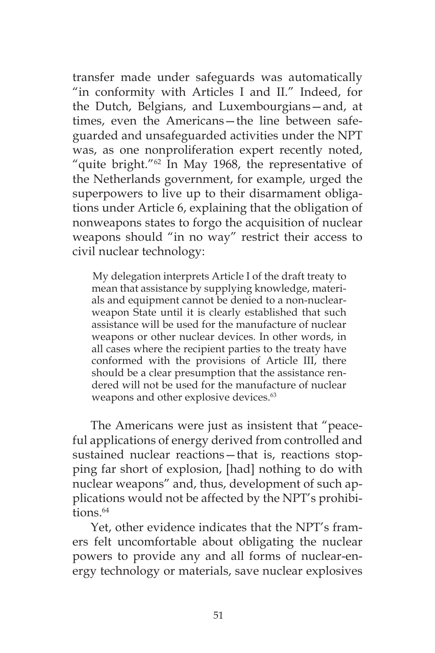transfer made under safeguards was automatically "in conformity with Articles I and II." Indeed, for the Dutch, Belgians, and Luxembourgians—and, at times, even the Americans—the line between safeguarded and unsafeguarded activities under the NPT was, as one nonproliferation expert recently noted, "quite bright."62 In May 1968, the representative of the Netherlands government, for example, urged the superpowers to live up to their disarmament obligations under Article 6, explaining that the obligation of nonweapons states to forgo the acquisition of nuclear weapons should "in no way" restrict their access to civil nuclear technology:

My delegation interprets Article I of the draft treaty to mean that assistance by supplying knowledge, materials and equipment cannot be denied to a non-nuclearweapon State until it is clearly established that such assistance will be used for the manufacture of nuclear weapons or other nuclear devices. In other words, in all cases where the recipient parties to the treaty have conformed with the provisions of Article III, there should be a clear presumption that the assistance rendered will not be used for the manufacture of nuclear weapons and other explosive devices.<sup>63</sup>

The Americans were just as insistent that "peaceful applications of energy derived from controlled and sustained nuclear reactions—that is, reactions stopping far short of explosion, [had] nothing to do with nuclear weapons" and, thus, development of such applications would not be affected by the NPT's prohibi $tions$ <sup> $64$ </sup>

Yet, other evidence indicates that the NPT's framers felt uncomfortable about obligating the nuclear powers to provide any and all forms of nuclear-energy technology or materials, save nuclear explosives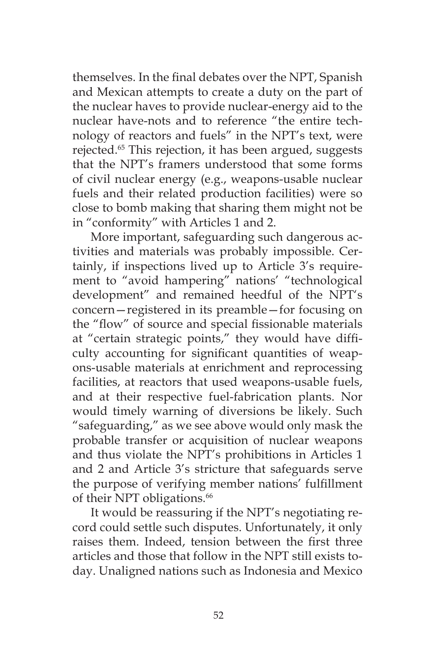themselves. In the final debates over the NPT, Spanish and Mexican attempts to create a duty on the part of the nuclear haves to provide nuclear-energy aid to the nuclear have-nots and to reference "the entire technology of reactors and fuels" in the NPT's text, were rejected.<sup>65</sup> This rejection, it has been argued, suggests that the NPT's framers understood that some forms of civil nuclear energy (e.g., weapons-usable nuclear fuels and their related production facilities) were so close to bomb making that sharing them might not be in "conformity" with Articles 1 and 2.

More important, safeguarding such dangerous activities and materials was probably impossible. Certainly, if inspections lived up to Article 3's requirement to "avoid hampering" nations' "technological development" and remained heedful of the NPT's concern—registered in its preamble—for focusing on the "flow" of source and special fissionable materials at "certain strategic points," they would have difficulty accounting for significant quantities of weapons-usable materials at enrichment and reprocessing facilities, at reactors that used weapons-usable fuels, and at their respective fuel-fabrication plants. Nor would timely warning of diversions be likely. Such "safeguarding," as we see above would only mask the probable transfer or acquisition of nuclear weapons and thus violate the NPT's prohibitions in Articles 1 and 2 and Article 3's stricture that safeguards serve the purpose of verifying member nations' fulfillment of their NPT obligations.<sup>66</sup>

It would be reassuring if the NPT's negotiating record could settle such disputes. Unfortunately, it only raises them. Indeed, tension between the first three articles and those that follow in the NPT still exists today. Unaligned nations such as Indonesia and Mexico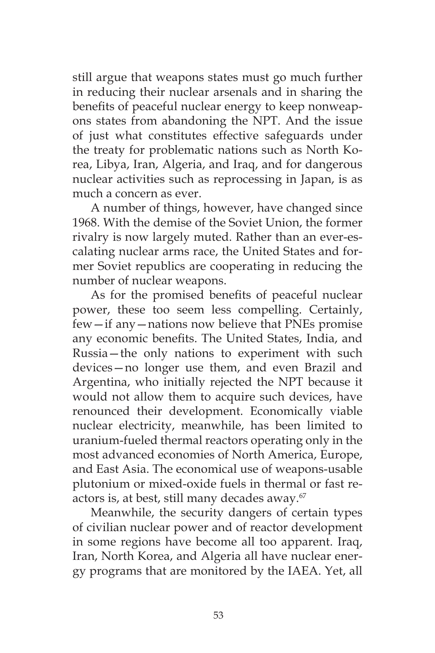still argue that weapons states must go much further in reducing their nuclear arsenals and in sharing the benefits of peaceful nuclear energy to keep nonweapons states from abandoning the NPT. And the issue of just what constitutes effective safeguards under the treaty for problematic nations such as North Korea, Libya, Iran, Algeria, and Iraq, and for dangerous nuclear activities such as reprocessing in Japan, is as much a concern as ever.

A number of things, however, have changed since 1968. With the demise of the Soviet Union, the former rivalry is now largely muted. Rather than an ever-escalating nuclear arms race, the United States and former Soviet republics are cooperating in reducing the number of nuclear weapons.

As for the promised benefits of peaceful nuclear power, these too seem less compelling. Certainly, few—if any—nations now believe that PNEs promise any economic benefits. The United States, India, and Russia—the only nations to experiment with such devices—no longer use them, and even Brazil and Argentina, who initially rejected the NPT because it would not allow them to acquire such devices, have renounced their development. Economically viable nuclear electricity, meanwhile, has been limited to uranium-fueled thermal reactors operating only in the most advanced economies of North America, Europe, and East Asia. The economical use of weapons-usable plutonium or mixed-oxide fuels in thermal or fast reactors is, at best, still many decades away.<sup>67</sup>

Meanwhile, the security dangers of certain types of civilian nuclear power and of reactor development in some regions have become all too apparent. Iraq, Iran, North Korea, and Algeria all have nuclear energy programs that are monitored by the IAEA. Yet, all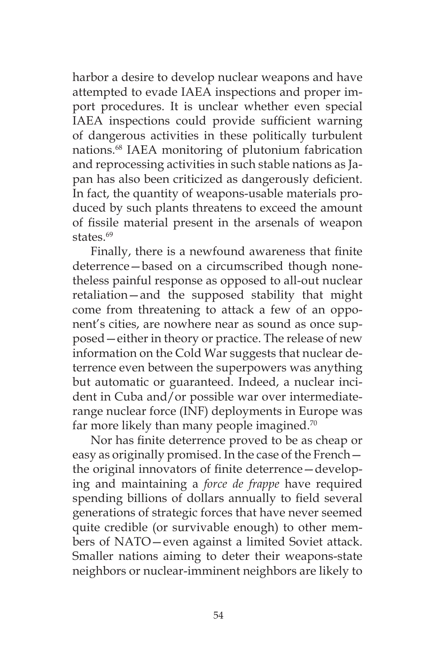harbor a desire to develop nuclear weapons and have attempted to evade IAEA inspections and proper import procedures. It is unclear whether even special IAEA inspections could provide sufficient warning of dangerous activities in these politically turbulent nations.68 IAEA monitoring of plutonium fabrication and reprocessing activities in such stable nations as Japan has also been criticized as dangerously deficient. In fact, the quantity of weapons-usable materials produced by such plants threatens to exceed the amount of fissile material present in the arsenals of weapon states.<sup>69</sup>

Finally, there is a newfound awareness that finite deterrence—based on a circumscribed though nonetheless painful response as opposed to all-out nuclear retaliation—and the supposed stability that might come from threatening to attack a few of an opponent's cities, are nowhere near as sound as once supposed—either in theory or practice. The release of new information on the Cold War suggests that nuclear deterrence even between the superpowers was anything but automatic or guaranteed. Indeed, a nuclear incident in Cuba and/or possible war over intermediaterange nuclear force (INF) deployments in Europe was far more likely than many people imagined.<sup>70</sup>

Nor has finite deterrence proved to be as cheap or easy as originally promised. In the case of the French the original innovators of finite deterrence—developing and maintaining a *force de frappe* have required spending billions of dollars annually to field several generations of strategic forces that have never seemed quite credible (or survivable enough) to other members of NATO—even against a limited Soviet attack. Smaller nations aiming to deter their weapons-state neighbors or nuclear-imminent neighbors are likely to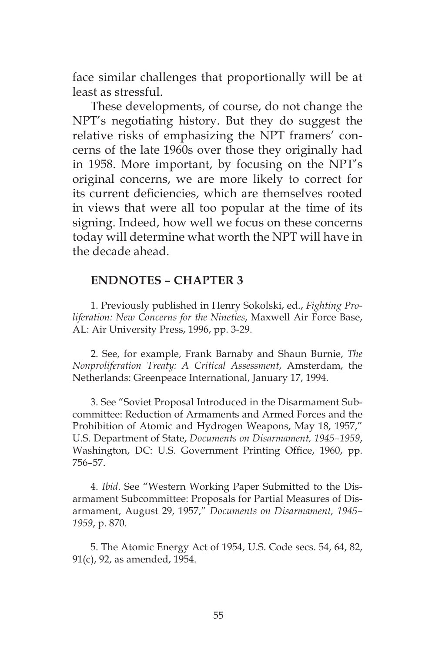face similar challenges that proportionally will be at least as stressful.

These developments, of course, do not change the NPT's negotiating history. But they do suggest the relative risks of emphasizing the NPT framers' concerns of the late 1960s over those they originally had in 1958. More important, by focusing on the NPT's original concerns, we are more likely to correct for its current deficiencies, which are themselves rooted in views that were all too popular at the time of its signing. Indeed, how well we focus on these concerns today will determine what worth the NPT will have in the decade ahead.

### **ENDNOTES – CHAPTER 3**

1. Previously published in Henry Sokolski, ed., *Fighting Proliferation: New Concerns for the Nineties*, Maxwell Air Force Base, AL: Air University Press, 1996, pp. 3-29.

2. See, for example, Frank Barnaby and Shaun Burnie, *The Nonproliferation Treaty: A Critical Assessment*, Amsterdam, the Netherlands: Greenpeace International, January 17, 1994.

3. See "Soviet Proposal Introduced in the Disarmament Subcommittee: Reduction of Armaments and Armed Forces and the Prohibition of Atomic and Hydrogen Weapons, May 18, 1957," U.S. Department of State, *Documents on Disarmament, 1945–1959*, Washington, DC: U.S. Government Printing Office, 1960, pp. 756–57.

4. *Ibid*. See "Western Working Paper Submitted to the Disarmament Subcommittee: Proposals for Partial Measures of Disarmament, August 29, 1957," *Documents on Disarmament, 1945– 1959*, p. 870.

5. The Atomic Energy Act of 1954, U.S. Code secs. 54, 64, 82, 91(c), 92, as amended, 1954.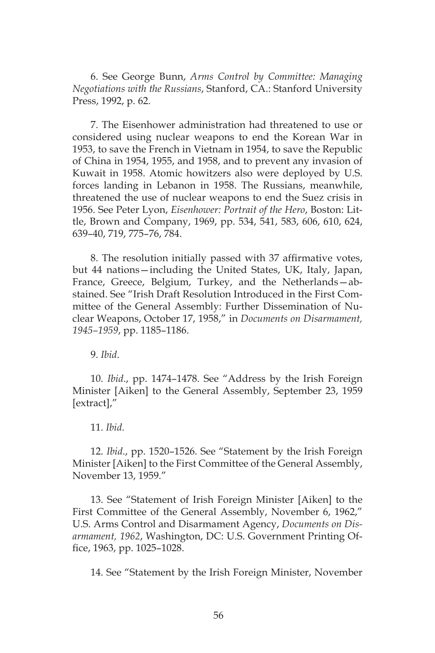6. See George Bunn, *Arms Control by Committee: Managing Negotiations with the Russians*, Stanford, CA.: Stanford University Press, 1992, p. 62.

7. The Eisenhower administration had threatened to use or considered using nuclear weapons to end the Korean War in 1953, to save the French in Vietnam in 1954, to save the Republic of China in 1954, 1955, and 1958, and to prevent any invasion of Kuwait in 1958. Atomic howitzers also were deployed by U.S. forces landing in Lebanon in 1958. The Russians, meanwhile, threatened the use of nuclear weapons to end the Suez crisis in 1956. See Peter Lyon, *Eisenhower: Portrait of the Hero*, Boston: Little, Brown and Company, 1969, pp. 534, 541, 583, 606, 610, 624, 639–40, 719, 775–76, 784.

8. The resolution initially passed with 37 affirmative votes, but 44 nations—including the United States, UK, Italy, Japan, France, Greece, Belgium, Turkey, and the Netherlands—abstained. See "Irish Draft Resolution Introduced in the First Committee of the General Assembly: Further Dissemination of Nuclear Weapons, October 17, 1958," in *Documents on Disarmament, 1945–1959*, pp. 1185–1186.

9. *Ibid*.

10. *Ibid*., pp. 1474–1478. See "Address by the Irish Foreign Minister [Aiken] to the General Assembly, September 23, 1959 [extract],"

11. *Ibid*.

12. *Ibid*., pp. 1520–1526. See "Statement by the Irish Foreign Minister [Aiken] to the First Committee of the General Assembly, November 13, 1959."

13. See "Statement of Irish Foreign Minister [Aiken] to the First Committee of the General Assembly, November 6, 1962," U.S. Arms Control and Disarmament Agency, *Documents on Disarmament, 1962*, Washington, DC: U.S. Government Printing Office, 1963, pp. 1025–1028.

14. See "Statement by the Irish Foreign Minister, November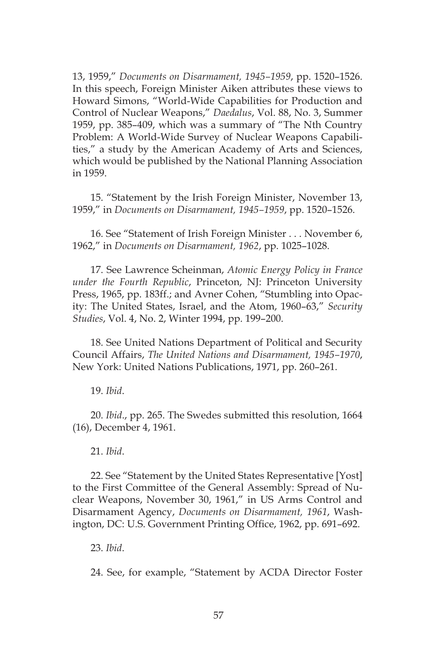13, 1959," *Documents on Disarmament, 1945–1959*, pp. 1520–1526. In this speech, Foreign Minister Aiken attributes these views to Howard Simons, "World-Wide Capabilities for Production and Control of Nuclear Weapons," *Daedalus*, Vol. 88, No. 3, Summer 1959, pp. 385–409, which was a summary of "The Nth Country Problem: A World-Wide Survey of Nuclear Weapons Capabilities," a study by the American Academy of Arts and Sciences, which would be published by the National Planning Association in 1959.

15. "Statement by the Irish Foreign Minister, November 13, 1959," in *Documents on Disarmament, 1945–1959*, pp. 1520–1526.

16. See "Statement of Irish Foreign Minister . . . November 6, 1962," in *Documents on Disarmament, 1962*, pp. 1025–1028.

17. See Lawrence Scheinman, *Atomic Energy Policy in France under the Fourth Republic*, Princeton, NJ: Princeton University Press, 1965, pp. 183ff.; and Avner Cohen, "Stumbling into Opacity: The United States, Israel, and the Atom, 1960–63," *Security Studies*, Vol. 4, No. 2, Winter 1994, pp. 199–200.

18. See United Nations Department of Political and Security Council Affairs, *The United Nations and Disarmament, 1945–1970*, New York: United Nations Publications, 1971, pp. 260–261.

19. *Ibid*.

20. *Ibid*., pp. 265. The Swedes submitted this resolution, 1664 (16), December 4, 1961.

21. *Ibid*.

22. See "Statement by the United States Representative [Yost] to the First Committee of the General Assembly: Spread of Nuclear Weapons, November 30, 1961," in US Arms Control and Disarmament Agency, *Documents on Disarmament, 1961*, Washington, DC: U.S. Government Printing Office, 1962, pp. 691–692.

23. *Ibid*.

24. See, for example, "Statement by ACDA Director Foster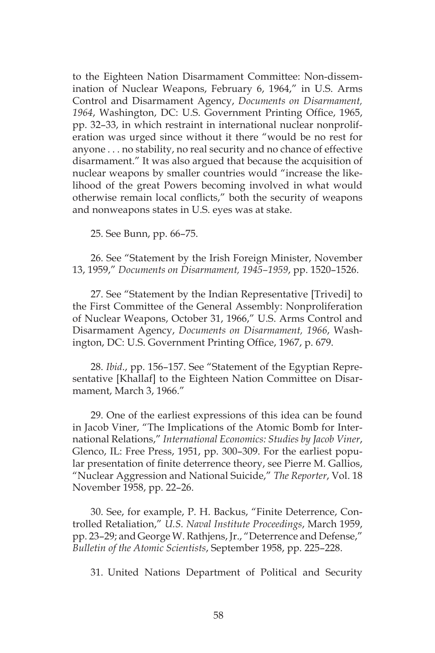to the Eighteen Nation Disarmament Committee: Non-dissemination of Nuclear Weapons, February 6, 1964," in U.S. Arms Control and Disarmament Agency, *Documents on Disarmament, 1964*, Washington, DC: U.S. Government Printing Office, 1965, pp. 32–33, in which restraint in international nuclear nonproliferation was urged since without it there "would be no rest for anyone . . . no stability, no real security and no chance of effective disarmament." It was also argued that because the acquisition of nuclear weapons by smaller countries would "increase the likelihood of the great Powers becoming involved in what would otherwise remain local conflicts," both the security of weapons and nonweapons states in U.S. eyes was at stake.

25. See Bunn, pp. 66–75.

26. See "Statement by the Irish Foreign Minister, November 13, 1959," *Documents on Disarmament, 1945–1959*, pp. 1520–1526.

27. See "Statement by the Indian Representative [Trivedi] to the First Committee of the General Assembly: Nonproliferation of Nuclear Weapons, October 31, 1966," U.S. Arms Control and Disarmament Agency, *Documents on Disarmament, 1966*, Washington, DC: U.S. Government Printing Office, 1967, p. 679.

28. *Ibid*., pp. 156–157. See "Statement of the Egyptian Representative [Khallaf] to the Eighteen Nation Committee on Disarmament, March 3, 1966."

29. One of the earliest expressions of this idea can be found in Jacob Viner, "The Implications of the Atomic Bomb for International Relations," *International Economics: Studies by Jacob Viner*, Glenco, IL: Free Press, 1951, pp. 300–309. For the earliest popular presentation of finite deterrence theory, see Pierre M. Gallios, "Nuclear Aggression and National Suicide," *The Reporter*, Vol. 18 November 1958, pp. 22–26.

30. See, for example, P. H. Backus, "Finite Deterrence, Controlled Retaliation," *U.S. Naval Institute Proceedings*, March 1959, pp. 23–29; and George W. Rathjens, Jr., "Deterrence and Defense," *Bulletin of the Atomic Scientists*, September 1958, pp. 225–228.

31. United Nations Department of Political and Security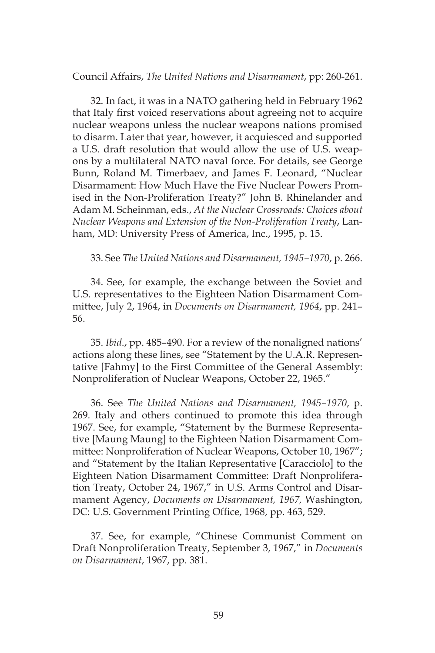Council Affairs, *The United Nations and Disarmament*, pp: 260-261.

32. In fact, it was in a NATO gathering held in February 1962 that Italy first voiced reservations about agreeing not to acquire nuclear weapons unless the nuclear weapons nations promised to disarm. Later that year, however, it acquiesced and supported a U.S. draft resolution that would allow the use of U.S. weapons by a multilateral NATO naval force. For details, see George Bunn, Roland M. Timerbaev, and James F. Leonard, "Nuclear Disarmament: How Much Have the Five Nuclear Powers Promised in the Non-Proliferation Treaty?" John B. Rhinelander and Adam M. Scheinman, eds., *At the Nuclear Crossroads: Choices about Nuclear Weapons and Extension of the Non-Proliferation Treaty*, Lanham, MD: University Press of America, Inc., 1995, p. 15.

33. See *The United Nations and Disarmament, 1945–1970*, p. 266.

34. See, for example, the exchange between the Soviet and U.S. representatives to the Eighteen Nation Disarmament Committee, July 2, 1964, in *Documents on Disarmament, 1964*, pp. 241– 56.

35. *Ibid*., pp. 485–490. For a review of the nonaligned nations' actions along these lines, see "Statement by the U.A.R. Representative [Fahmy] to the First Committee of the General Assembly: Nonproliferation of Nuclear Weapons, October 22, 1965."

36. See *The United Nations and Disarmament, 1945–1970*, p. 269. Italy and others continued to promote this idea through 1967. See, for example, "Statement by the Burmese Representative [Maung Maung] to the Eighteen Nation Disarmament Committee: Nonproliferation of Nuclear Weapons, October 10, 1967"; and "Statement by the Italian Representative [Caracciolo] to the Eighteen Nation Disarmament Committee: Draft Nonproliferation Treaty, October 24, 1967," in U.S. Arms Control and Disarmament Agency, *Documents on Disarmament, 1967,* Washington, DC: U.S. Government Printing Office, 1968, pp. 463, 529.

37. See, for example, "Chinese Communist Comment on Draft Nonproliferation Treaty, September 3, 1967," in *Documents on Disarmament*, 1967, pp. 381.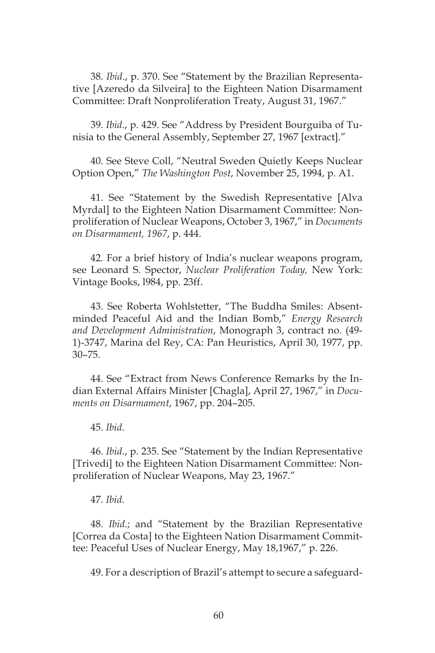38. *Ibid*., p. 370. See "Statement by the Brazilian Representative [Azeredo da Silveira] to the Eighteen Nation Disarmament Committee: Draft Nonproliferation Treaty, August 31, 1967."

39. *Ibid*., p. 429. See "Address by President Bourguiba of Tunisia to the General Assembly, September 27, 1967 [extract]."

40. See Steve Coll, "Neutral Sweden Quietly Keeps Nuclear Option Open," *The Washington Post*, November 25, 1994, p. A1.

41. See "Statement by the Swedish Representative [Alva Myrdal] to the Eighteen Nation Disarmament Committee: Nonproliferation of Nuclear Weapons, October 3, 1967," in *Documents on Disarmament, 1967*, p. 444.

42. For a brief history of India's nuclear weapons program, see Leonard S. Spector, *Nuclear Proliferation Today,* New York: Vintage Books, l984, pp. 23ff.

43. See Roberta Wohlstetter, "The Buddha Smiles: Absentminded Peaceful Aid and the Indian Bomb," *Energy Research and Development Administration*, Monograph 3, contract no. (49- 1)-3747, Marina del Rey, CA: Pan Heuristics, April 30, 1977, pp. 30–75.

44. See "Extract from News Conference Remarks by the Indian External Affairs Minister [Chagla], April 27, 1967," in *Documents on Disarmament*, 1967, pp. 204–205.

45. *Ibid*.

46. *Ibid*., p. 235. See "Statement by the Indian Representative [Trivedi] to the Eighteen Nation Disarmament Committee: Nonproliferation of Nuclear Weapons, May 23, 1967."

#### 47. *Ibid*.

48. *Ibid*.; and "Statement by the Brazilian Representative [Correa da Costa] to the Eighteen Nation Disarmament Committee: Peaceful Uses of Nuclear Energy, May 18,1967," p. 226.

49. For a description of Brazil's attempt to secure a safeguard-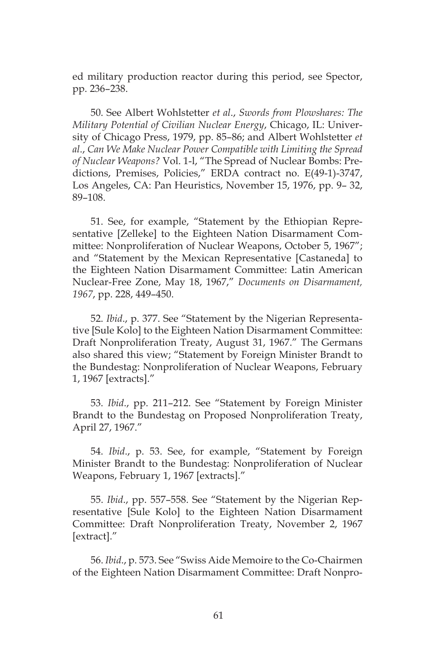ed military production reactor during this period, see Spector, pp. 236–238.

50. See Albert Wohlstetter *et al*., *Swords from Plowshares: The Military Potential of Civilian Nuclear Energy*, Chicago, IL: University of Chicago Press, 1979, pp. 85–86; and Albert Wohlstetter *et al*., *Can We Make Nuclear Power Compatible with Limiting the Spread of Nuclear Weapons?* Vol. 1-l, "The Spread of Nuclear Bombs: Predictions, Premises, Policies," ERDA contract no. E(49-1)-3747, Los Angeles, CA: Pan Heuristics, November 15, 1976, pp. 9– 32, 89–108.

51. See, for example, "Statement by the Ethiopian Representative [Zelleke] to the Eighteen Nation Disarmament Committee: Nonproliferation of Nuclear Weapons, October 5, 1967"; and "Statement by the Mexican Representative [Castaneda] to the Eighteen Nation Disarmament Committee: Latin American Nuclear-Free Zone, May 18, 1967," *Documents on Disarmament, 1967*, pp. 228, 449–450.

52. *Ibid*., p. 377. See "Statement by the Nigerian Representative [Sule Kolo] to the Eighteen Nation Disarmament Committee: Draft Nonproliferation Treaty, August 31, 1967." The Germans also shared this view; "Statement by Foreign Minister Brandt to the Bundestag: Nonproliferation of Nuclear Weapons, February 1, 1967 [extracts]."

53. *Ibid*., pp. 211–212. See "Statement by Foreign Minister Brandt to the Bundestag on Proposed Nonproliferation Treaty, April 27, 1967."

54. *Ibid*., p. 53. See, for example, "Statement by Foreign Minister Brandt to the Bundestag: Nonproliferation of Nuclear Weapons, February 1, 1967 [extracts]."

55. *Ibid*., pp. 557–558. See "Statement by the Nigerian Representative [Sule Kolo] to the Eighteen Nation Disarmament Committee: Draft Nonproliferation Treaty, November 2, 1967 [extract]."

56. *Ibid*., p. 573. See "Swiss Aide Memoire to the Co-Chairmen of the Eighteen Nation Disarmament Committee: Draft Nonpro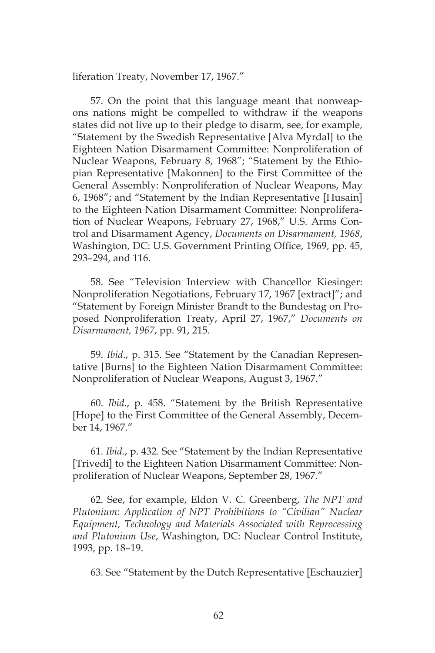liferation Treaty, November 17, 1967."

57. On the point that this language meant that nonweapons nations might be compelled to withdraw if the weapons states did not live up to their pledge to disarm, see, for example, "Statement by the Swedish Representative [Alva Myrdal] to the Eighteen Nation Disarmament Committee: Nonproliferation of Nuclear Weapons, February 8, 1968"; "Statement by the Ethiopian Representative [Makonnen] to the First Committee of the General Assembly: Nonproliferation of Nuclear Weapons, May 6, 1968"; and "Statement by the Indian Representative [Husain] to the Eighteen Nation Disarmament Committee: Nonproliferation of Nuclear Weapons, February 27, 1968," U.S. Arms Control and Disarmament Agency, *Documents on Disarmament, 1968*, Washington, DC: U.S. Government Printing Office, 1969, pp. 45, 293–294, and 116.

58. See "Television Interview with Chancellor Kiesinger: Nonproliferation Negotiations, February 17, 1967 [extract]"; and "Statement by Foreign Minister Brandt to the Bundestag on Proposed Nonproliferation Treaty, April 27, 1967," *Documents on Disarmament, 1967*, pp. 91, 215.

59. *Ibid*., p. 315. See "Statement by the Canadian Representative [Burns] to the Eighteen Nation Disarmament Committee: Nonproliferation of Nuclear Weapons, August 3, 1967."

60. *Ibid*., p. 458. "Statement by the British Representative [Hope] to the First Committee of the General Assembly, December 14, 1967."

61. *Ibid*., p. 432. See "Statement by the Indian Representative [Trivedi] to the Eighteen Nation Disarmament Committee: Nonproliferation of Nuclear Weapons, September 28, 1967."

62. See, for example, Eldon V. C. Greenberg, *The NPT and Plutonium: Application of NPT Prohibitions to "Civilian" Nuclear Equipment, Technology and Materials Associated with Reprocessing and Plutonium Use*, Washington, DC: Nuclear Control Institute, 1993, pp. 18–19.

63. See "Statement by the Dutch Representative [Eschauzier]